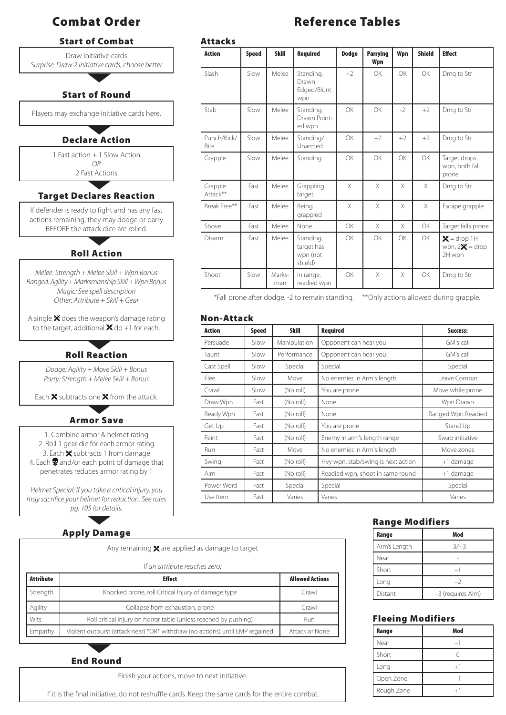# Start of Combat

Draw initiative cards *Surprise: Draw 2 initiative cards, choose better*

# Start of Round

Players may exchange initiative cards here.

# Declare Action

1 Fast action + 1 Slow Action *OR*

2 Fast Actions

### Target Declares Reaction

If defender is ready to fight and has any fast actions remaining, they may dodge or parry BEFORE the attack dice are rolled.

## Roll Action

*Melee: Strength + Melee Skill + Wpn Bonus Ranged: Agility + Marksmanship Skill + Wpn Bonus Magic: See spell description Other: Attribute + Skill + Gear*

A single  $\mathsf{\mathbf{\times}}$  does the weapon's damage rating to the target, additional  $\mathbf{\mathbf{X}}$  do +1 for each.

# Roll Reaction

*Dodge: Agility + Move Skill + Bonus Parry: Strength + Melee Skill + Bonus*

Each  $\mathsf{\overline{X}}$  subtracts one  $\mathsf{\overline{X}}$  from the attack.

# Armor Save

1. Combine armor & helmet rating 2. Roll 1 gear die for each armor rating 3. Each  $\mathbf{\times}$  subtracts 1 from damage 4. Each  $\mathbf{\mathcal{D}}$  and/or each point of damage that penetrates reduces armor rating by 1

*Helmet Special: If you take a critical injury, you may sacrifice your helmet for reduction. See rules pg. 105 for details.*

# Apply Damage

Any remaining  $\mathbf{\times}$  are applied as damage to target

*If an attribute reaches zero:*

| Attribute | <b>Effect</b>                                                                | <b>Allowed Actions</b> |
|-----------|------------------------------------------------------------------------------|------------------------|
| Strength  | Knocked prone, roll Critical Injury of damage type                           | Crawl                  |
| Agility   | Collapse from exhaustion, prone                                              | Crawl                  |
| Wits      | Roll critical injury on horror table (unless reached by pushing)             | Run                    |
| Empathy   | Violent outburst (attack near) *OR* withdraw (no actions) until EMP regained | Attack or None         |

#### End Round

Finish your actions, move to next initiative.

If it is the final initiative, do not reshuffle cards. Keep the same cards for the entire combat.

# Combat Order **Reference Tables**

| <b>Action</b>       | <b>Speed</b> | <b>Skill</b>  | <b>Required</b>                                | <b>Dodge</b> | <b>Parrying</b><br>Wpn | Wpn       | <b>Shield</b> | <b>Effect</b>                               |
|---------------------|--------------|---------------|------------------------------------------------|--------------|------------------------|-----------|---------------|---------------------------------------------|
| Slash               | Slow         | Melee         | Standing,<br>Drawn<br>Edged/Blunt<br>wpn       | $+2$         | OK                     | OK        | <b>OK</b>     | Dmg to Str                                  |
| Stab                | Slow         | Melee         | Standing,<br>Drawn Point-<br>ed wpn            | OK           | OK                     | $-2$      | $+2$          | Dmg to Str                                  |
| Punch/Kick/<br>Bite | Slow         | Melee         | Standing/<br>Unarmed                           | OK           | $+2$                   | $+2$      | $+2$          | Dmg to Str                                  |
| Grapple             | Slow         | Melee         | Standing                                       | OK           | OK                     | <b>OK</b> | <b>OK</b>     | Target drops<br>wpn, both fall<br>prone     |
| Grapple<br>Attack** | Fast         | Melee         | Grappling<br>target                            | X            | $\times$               | X         | X             | Dmg to Str                                  |
| Break Free**        | Fast         | Melee         | Being<br>grappled                              | $\times$     | $\times$               | X         | X             | Escape grapple                              |
| Shove               | Fast         | Melee         | None                                           | OK           | $\times$               | $\times$  | <b>OK</b>     | Target falls prone                          |
| Disarm              | Fast         | Melee         | Standing,<br>target has<br>wpn (not<br>shield) | OK           | OK                     | <b>OK</b> | OK            | $X =$ drop 1H<br>wpn, $2X =$ drop<br>2H wpn |
| Shoot               | Slow         | Marks-<br>man | In range,<br>readied wpn                       | OK           | X                      | X         | OK            | Dmg to Str                                  |

\*Fall prone after dodge. -2 to remain standing. \*\*Only actions allowed during grapple.

#### Non-Attack

| <b>Action</b> | <b>Speed</b> | <b>Skill</b> | <b>Required</b>                    | Success:           |
|---------------|--------------|--------------|------------------------------------|--------------------|
| Persuade      | Slow         | Manipulation | Opponent can hear you              | GM's call          |
| Taunt         | Slow         | Performance  | Opponent can hear you              | GM's call          |
| Cast Spell    | Slow         | Special      | Special                            | Special            |
| Flee          | Slow         | Move         | No enemies in Arm's length         | Leave Combat       |
| Crawl         | Slow         | (No roll)    | You are prone                      | Move while prone   |
| Draw Wpn      | Fast         | (No roll)    | None                               | Wpn Drawn          |
| Ready Wpn     | Fast         | (No roll)    | None                               | Ranged Wpn Readied |
| Get Up        | Fast         | (No roll)    | You are prone                      | Stand Up           |
| Feint         | Fast         | (No roll)    | Enemy in arm's length range        | Swap initiative    |
| <b>Run</b>    | Fast         | Move         | No enemies in Arm's length         | Move zones         |
| Swing         | Fast         | (No roll)    | Hvy wpn, stab/swing is next action | +1 damage          |
| Aim           | Fast         | (No roll)    | Readied wpn, shoot in same round   | +1 damage          |
| Power Word    | Fast         | Special      | Special                            | Special            |
| Use Item      | Fast         | Varies       | Varies                             | Varies             |

#### Range Modifiers

| Range        | Mod               |  |  |
|--------------|-------------------|--|--|
| Arm's Length | $-3/+3$           |  |  |
| Near         |                   |  |  |
| Short        |                   |  |  |
| Long         | -2                |  |  |
| Distant      | -3 (requires Aim) |  |  |

#### Fleeing Modifiers

| Range      | Mod  |  |
|------------|------|--|
| Near       |      |  |
| Short      |      |  |
| Long       | $+1$ |  |
| Open Zone  |      |  |
| Rough Zone | ⊥1   |  |